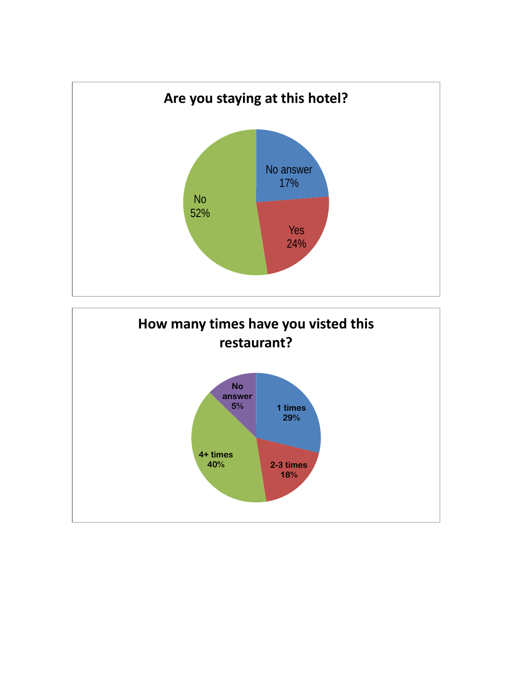

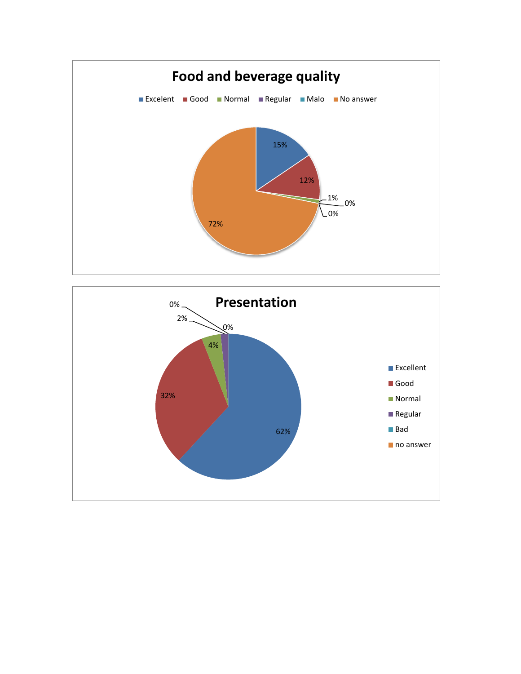

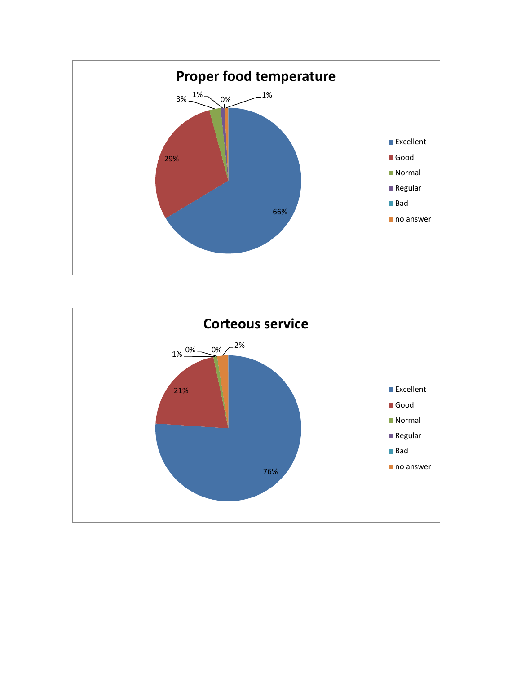

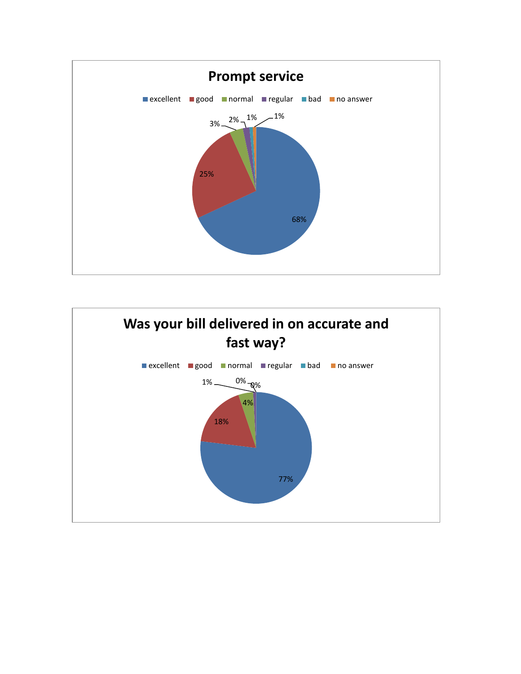

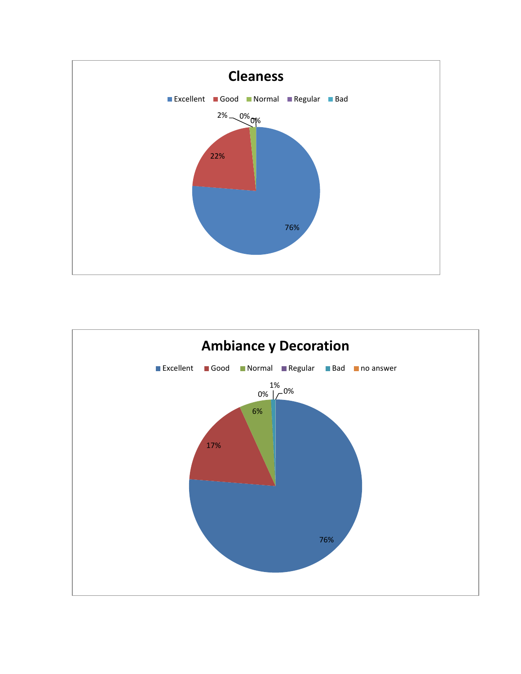

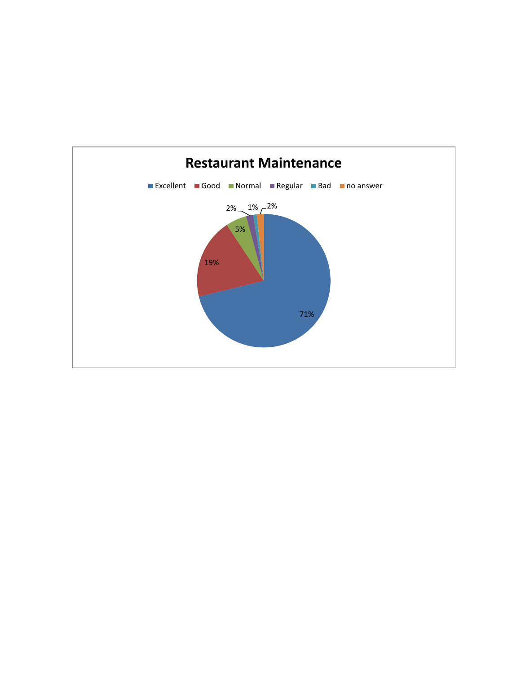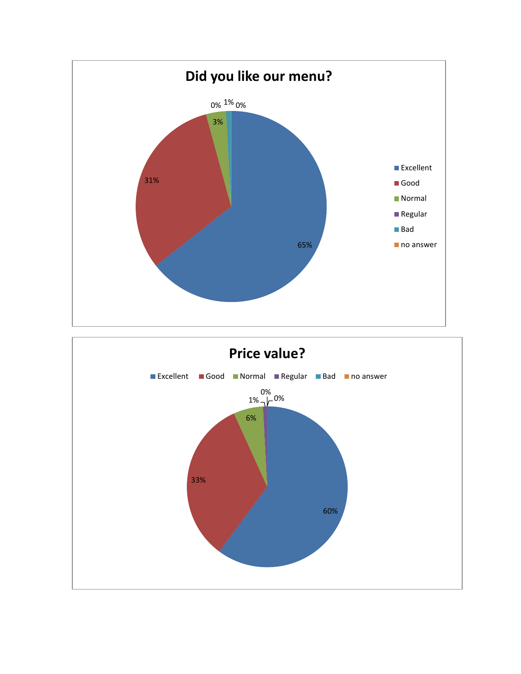